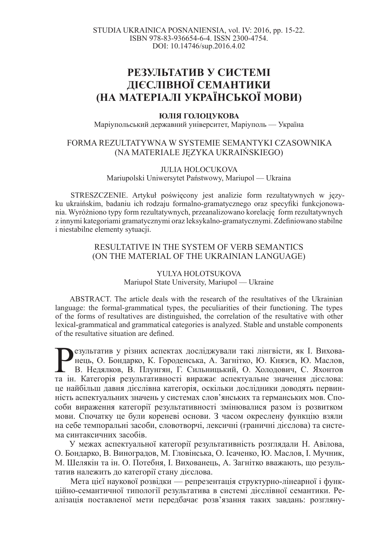# **РЕЗУЛЬТАТИВ У СИСТЕМІ ЛІЄСЛІВНОЇ СЕМАНТИКИ (ɇȺ ɆȺɌȿɊȱȺɅȱ ɍɄɊȺȲɇɋɖɄɈȲ ɆɈȼɂ)**

## **ЮЛІЯ ГОЛОЦУКОВА**

Маріупольський державний університет, Маріуполь — Україна

## FORMA REZULTATYWNA W SYSTEMIE SEMANTYKI CZASOWNIKA (NA MATERIALE JĘZYKA UKRAIŃSKIEGO)

#### JULIA HOLOCUKOVA

Mariupolski Uniwersytet Państwowy, Mariupol — Ukraina

STRESZCZENIE. Artykuł poświęcony jest analizie form rezultatywnych w języku ukraińskim, badaniu ich rodzaju formalno-gramatycznego oraz specyfiki funkcjonowania. Wyróżniono typy form rezultatywnych, przeanalizowano korelację form rezultatywnych z innymi kategoriami gramatycznymi oraz leksykalno-gramatycznymi. Zdefiniowano stabilne i niestabilne elementy sytuacji.

## RESULTATIVE IN THE SYSTEM OF VERB SEMANTICS (ON THE MATERIAL OF THE UKRAINIAN LANGUAGE)

### YULYA HOLOTSUKOVA Mariupol State University, Mariupol — Ukraine

ABSTRACT. The article deals with the research of the resultatives of the Ukrainian language: the formal-grammatical types, the peculiarities of their functioning. The types of the forms of resultatives are distinguished, the correlation of the resultative with other lexical-grammatical and grammatical categories is analyzed. Stable and unstable components of the resultative situation are defined.

Везультатив у різних аспектах досліджували такі лінгвісти, як І. Вихова-нець, О. Бондарко, К. Городенська, А. Загнітко, Ю. Князєв, Ю. Маслов, В. Недялков, В. Плунгян, Г. Сильницький, О. Холодович, С. Яхонтов та ін. Катего езультатив у різних аспектах досліджували такі лінгвісти, як І. Вихованець, О. Бондарко, К. Городенська, А. Загнітко, Ю. Князєв, Ю. Маслов, В. Недялков, В. Плунгян, Г. Сильницький, О. Холодович, С. Яхонтов це найбільш давня дієслівна категорія, оскільки дослідники доводять первинність аспектуальних значень у системах слов'янських та германських мов. Способи вираження категорії результативності змінювалися разом із розвитком мови. Спочатку це були кореневі основи. З часом окреслену функцію взяли на себе темпоральні засоби, словотворчі, лексичні (граничні дієслова) та система синтаксичних засобів.

У межах аспектуальної категорії результативність розглядали Н. Авілова, О. Бондарко, В. Виноградов, М. Гловінська, О. Ісаченко, Ю. Маслов, І. Мучник, М. Шелякін та ін. О. Потебня, І. Вихованець, А. Загнітко вважають, що результатив належить до категорії стану дієслова.

Мета цієї наукової розвідки — репрезентація структурно-лінеарної і функційно-семантичної типології результатива в системі дієслівної семантики. Реалізація поставленої мети передбачає розв'язання таких завдань: розгляну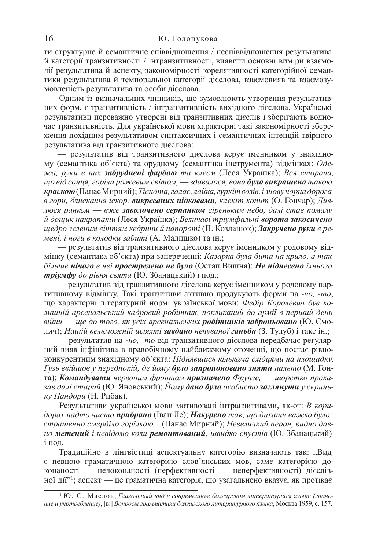ти структурне й семантичне співвідношення / неспіввідношення результатива й категорії транзитивності / інтранзитивності, виявити основні виміри взаємодії результатива й аспекту, закономірності корелятивності категорійної семантики результатива й темпоральної категорії дієслова, взаємовияв та взаємозумовленість результатива та особи дієслова.

Одним із визначальних чинників, що зумовлюють утворення результативних форм, є транзитивність / інтранзитивність вихідного дієслова. Українські результативи переважно утворені від транзитивних дієслів і зберігають водночас транзитивність. Для української мови характерні такі закономірності збереження похідним результативом синтаксичних і семантичних інтенцій твірного результатива від транзитивного дієслова:

— результатив від транзитивного дієслова керує іменником у знахідному (семантика об'єкта) та орудному (семантика інструмента) відмінках: *Оде*- $\frac{a}{x}$ а, руки в них забруднені фарбою та клеєм (Леся Українка); Вся сторона,  $\mu$ µо від сонця, горіла рожевим світом, — здавалося, вона **була викрашена** такою **краскою**(Панас Мирний); *Тіснота, галас, лайка, гуркіт возів, і знову чорна дорога*  $\overline{B}$  *гори, блискання іскор, викресаних підковами, клекіт копит* (О. Гончар); Дивлюся ранком — вже заволочено серпанком сіреньким небо, далі став помалу  $\check{u}$  дощик накрапати (Леся Українка); Величаві тріумфальні ворота закосичено  $u$ едро зеленим віттям кедрини й папороті (П. Козланюк); Закручено руки в ре $m$ ені, і ноги в колодки забиті (А. Малишко) та ін.;

— результатив від транзитивного дієслова керує іменником у родовому відмінку (семантика об'єкта) при запереченні: Казарка була бита на крило, а так  $\delta$ *йльше нічого в неї прострелено не було* (Остап Вишня); Не піднесено їхнього *mpiymфy до рівня свята* (Ю. Збанацький) і под.;

— результатив від транзитивного дієслова керує іменником у родовому партитивному відмінку. Такі транзитиви активно продукують форми на -но, -то, що характерні літературній нормі української мови: Федір Королевич був кодишній арсенальський кадровий робітник, покликаний до армії в перший день  $\ddot{\theta}$ ййни — ще до того, як усіх арсенальських **робітників заброньовано** (Ю. Смолич); *Нашій вельможній шляхті* завдано нечуваної ганьби (З. Тулуб) і таке ін.;

— результатив на -*но*, -*то* від транзитивного дієслова передбачає регулярний вияв інфінітива в правобічному найближчому оточенні, що постає рівноконкурентним знахідному об'єкта: Піднявшись кількома східцями на площадку, Гузь ввійшов у передпокій, де йому було запропоновано зняти пальто (М. Гонта); Командувати червоним фронтом призначено Фрунзе, — шорстко проказав далі старий (Ю. Яновський); Йому дано було особисто заглянути у скринь*ку Пандори* (Н. Рибак).

Результативи української мови мотивовані інтранзитивами, як-от: *В кори-* $\partial$ орах надто чисто прибрано (Іван Ле); Накурено так, що дихати важко було; страшенно смерділо горілкою... (Панас Мирний); Невеличкий перон, видно дав**но метений** і невідомо коли ремонтований, швидко спустів (Ю. Збанацький)  $i$  под.

Традиційно в лінгвістиці аспектуальну категорію визначають так: "Вид є певною граматичною категорією слов'янських мов, саме категорією доконаності — недоконаності (перфективності — неперфективності) дієслівної дії"<sup>1</sup>; аспект — це граматична категорія, що узагальнено вказує, як протікає

<sup>&</sup>lt;sup>1</sup> Ю. С. Маслов, Глагольный вид в современном болгарском литературном языке (значе*ɧɢɟ ɢ ɭɩɨɬɪɟɛɥɟɧɢɟ)*, [ɜ:] *ȼɨɩɪɨɫɵ ɝɪɚɦɦɚɬɢɤɢ ɛɨɥɝɚɪɫɤɨɝɨ ɥɢɬɟɪɚɬɭɪɧɨɝɨ ɹɡɵɤɚ*, Ɇɨɫɤɜɚ 1959, ɫ. 157.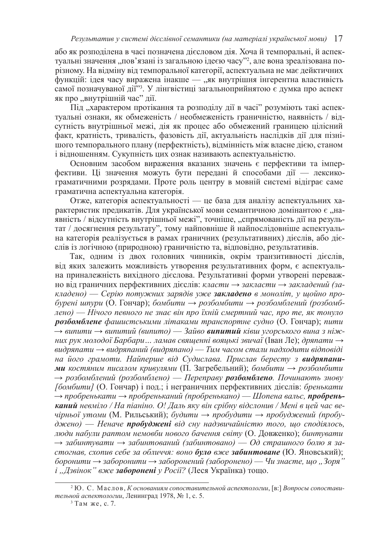або як розподілена в часі позначена дієсловом дія. Хоча й темпоральні, й аспектуальні значення "пов'язані із загальною ідеєю часу"?, але вона зреалізована порізному. На відміну від темпоральної категорії, аспектуальна не має дейктичних функцій: ідея часу виражена інакше — "як внутрішня інгерентна властивість самої позначуваної дії"<sup>3</sup>. У лінгвістиці загальноприйнятою є думка про аспект як про "внутрішній час" дії.

Під "характером протікання та розподілу дії в часі" розуміють такі аспектуальні ознаки, як обмеженість / необмеженість граничністю, наявність / відсутність внутрішньої межі, дія як процес або обмежений границею цілісний факт, кратність, тривалість, фазовість дії, актуальність наслідків дії для пізнішого темпорального плану (перфектність), відмінність між власне дією, станом *і* відношенням. Сукупність цих ознак називають аспектуальністю.

Основним засобом вираження вказаних значень є перфективи та імперфективи. Ці значення можуть бути передані й способами дії — лексикограматичними розрядами. Проте роль центру в мовній системі відіграє саме граматична аспектуальна категорія.

Отже, категорія аспектуальності — це база для аналізу аспектуальних характеристик предикатів. Для української мови семантичною домінантою є "наявність / відсутність внутрішньої межі", точніше, "спрямованість дії на результат / досягнення результату", тому найповніше й найпослідовніше аспектуальна категорія реалізується в рамах граничних (результативних) дієслів, або дієслів із логічною (природною) граничністю та, відповідно, результативів.

Так, одним із двох головних чинників, окрім транзитивності дієслів, від яких залежить можливість утворення результативних форм, є аспектуальна приналежність вихідного дієслова. Результативні форми утворені переважно від граничних перфективних дієслів: класти → закласти → закладений (за- $\kappa$ ладено) — Серію потужних зарядів уже закладено в моноліт, у щойно про- $6$ урені шпури (О. Гончар); бомбити → розбомбити → розбомблений (розбомб- $\alpha$ ено) — Нічого певного не знає він про їхній смертний час, про те, як тонуло **розбомблене** фашистськими літаками транспортне судно (О. Гончар); пити → випити → випитий (випито) — Зайво випитий ківш угорського вина з ніж*них рук молодої Барбари... ламав священні вояцькі звичаї* (Іван Ле); *дряпати* →  $\alpha$ аидряпати → видряпаний (видряпано) — Тим часом стали надходити відповіді **на** його грамоти. Найперше від Судислава. Прислав бересту з видряпани*ми костяним писалом кривулями* (П. Загребельний); *бомбити* → *розбомбити*  $\rightarrow$  розбомблений (розбомблено) — Переправу **розбомблено**. Починають знову  $[60, 60]$  [О. Гончар]  $i$  под $\vdots$  *і* неграничних перфективних дієслів: *бренькати*  $\rightarrow$  пробренькати → пробреньканий (пробренькано) — Шопена вальс, пробрень**каний** невміло / На піаніно. О! Даль яку він срібну відслонив / Мені в цей час вечірньої утоми (М. Рильський); будити → пробудити → пробуджений (пробу- $∂жено)$  — Неначе пробуджені від сну надзвичайністю того, що сподіялось, дюди набули раптом немовби нового бачення світу (О. Довженко); бинтувати  $\rightarrow$  забинтувати → забинтований (забинтовано) — Од страшного болю я за- $\alpha$ *екая, схопив себе за обличчя: воно було вже забинтоване* (Ю. Яновський);  $\delta$ оронити → заборонити → заборонений (заборонено) — Чи знаєте, що "Зоря"  $i$ , Дзвінок" вже заборонені у Росії? (Леся Українка) тощо.

<sup>&</sup>lt;sup>2</sup> Ю. С. Маслов, *Коснованиям сопоставительной аспектологии*, [в:] Вопросы сопостави*тельной аспектологии*, Ленинград 1978, № 1, с. 5.

 $3$  Там же, с. 7.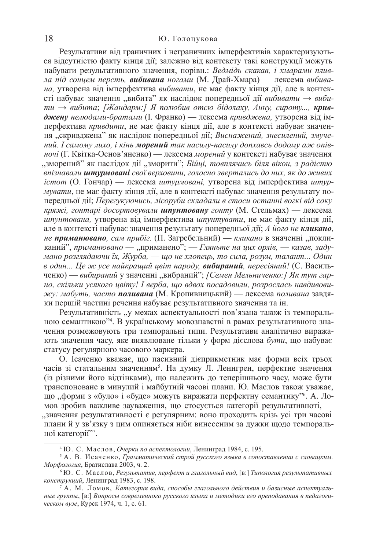Результативи від граничних і неграничних імперфективів характеризуються відсутністю факту кінця дії; залежно від контексту такі конструкції можуть набувати результативного значення, порівн.: Ведмідь скакав, і хмарами пливла під сонцем персть, вибивана ногами (М. Драй-Хмара) — лексема вибива*на*, утворена від імперфектива вибивати, не має факту кінця дії, але в контексті набуває значення "вибита" як наслідок попередньої дії вибивати → виби $mu →$  вибита; [Жандарм:] Я полюбив отсю бідолаху, Анну, сироту..., кривджену нелюдами-братами (І. Франко) — лексема кривджена, утворена від імперфектива *кривдити*, не має факту кінця дії, але в контексті набуває значення "скривджена" як наслідок попередньої дії; Виснажений, знесилений, змуче**ний.** *I самому лихо, і кінь морений так насилу-насилу допхавсь додому аж опівночі* (Г. Квітка-Основ'яненко) — лексема морений у контексті набуває значення "зморений" як наслідок дії "зморити"; *Бійці, товплячись біля вікон, з радістю*  $\epsilon$ впізнавали штурмовані свої верховини, голосно звертались до них, як до живих *icmom* (О. Гончар) — лексема штурмовані, утворена від імперфектива штур*мувати*, не має факту кінця дії, але в контексті набуває значення результату попередньої дії; Перегукуючись, лісоруби складали в стоси останні вогкі від соку *кряжі, гонтарі досортовували шпунтовану гонту* (М. Стельмах) — лексема *ипунтована*, утворена від імперфектива *шпунтувати*, не має факту кінця дії, але в контексті набуває значення результату попередньої дії; А його не кликано, не приманювано, сам прибіг. (П. Загребельний) — кликано в значенні "покликаний", приманювано — "приманено"; — Гляньте на цих орлів, — казав, заду- $\hat{a}$  *мано розглядаючи їх, Журба*, — що не хлопець, то сила, розум, талант... Один *в* один... Це ж усе найкращий цвіт народу, вибираний, пересіяний! (С. Васильченко) — вибираний у значенні "вибраний"; *[Семен Мельниченко:] Як тут гар*- $H$ *0, скільки усякого цвіту! І верба, що вдвох посадовили, розрослась навдивови* $x$ ° *мабуть, часто поливана* (М. Кропивницький) — лексема поливана завдяки першій частині речення набуває результативного значення та ін.

Результативність, у межах аспектуальності пов'язана також із темпоральною семантикою"<sup>4</sup>. В українському мовознавстві в рамах результативного значення розмежовують три темпоральні типи. Результативи аналітично виражають значення часу, яке виявлюване тільки у форм дієслова бути, що набуває статусу регулярного часового маркера.

О. Ісаченко вважає, що пасивний дієприкметник має форми всіх трьох часів зі статальним значенням<sup>5</sup>. На думку Л. Леннгрен, перфектне значення (із різними його відтінками), що належить до теперішнього часу, може бути транспоноване в минулий і майбутній часові плани. Ю. Маслов також уважає, що "форми з «було» і «буде» можуть виражати перфектну семантику<sup>»</sup>. А. Ломов зробив важливе зауваження, що стосується категорії результативноті, — , значення результативності є регулярним: воно проходить крізь усі три часові планий у зв'язку з цим опиняється ніби винесеним за дужки щодо темпоральної категорії"7.

<sup>&</sup>lt;sup>4</sup> Ю. С. Маслов, *Очерки по аспектологии*, Ленинград 1984, с. 195.

<sup>&</sup>lt;sup>5</sup> А. В. Исаченко, Грамматический строй русского языка в сопоставлении с словацким. *Морфология*, Братислава 2003, ч. 2.

<sup>&</sup>lt;sup>6</sup> Ю. С. Маслов, Результатив, перфект и глагольный вид, [в:] Типология результативных *конструкций*, Ленинград 1983, с. 198.

<sup>&</sup>lt;sup>7</sup> А. М. Ломов, Категория вида, способы глагольного действия и базисные аспектуаль- $H$ ые группы, [в:] Вопросы современного русского языка и методики его преподавания в педагоги*ческом вузе*, Курск 1974, ч. 1, с. 61.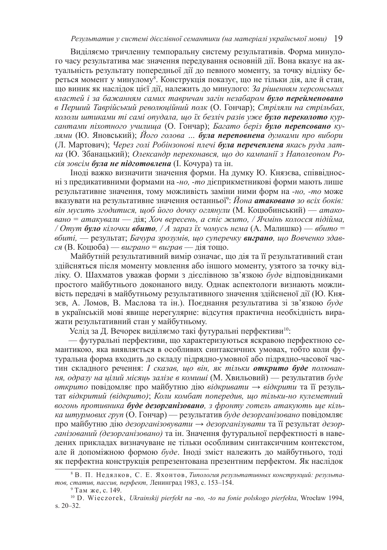Виділяємо тричленну темпоральну систему результативів. Форма минулого часу результатива має значення передування основній дії. Вона вказує на актуальність результату попередньої дії до певного моменту, за точку відліку береться момент у минулому<sup>8</sup>. Конструкція показує, що не тільки дія, але й стан, що виник як наслідок цієї дії, належить до минулого: За рішенням херсонських властей і за бажанням самих тавричан загін незабаром було перейменовано  $\epsilon$  Перший Таврійський революційний полк (О. Гончар); Стріляли на стрільбах, *кололи штиками ті самі опудала, що їх безліч разів уже було переколото кур* $c$ антами піхотного училища (О. Гончар); *Багато беріз було перепсовано ку*дями (Ю. Яновський); *Його голова ... була переповнена думками про вибори* (Л. Мартович); Через голі Робінзонові плечі **була перечеплена** якась руда лат*ɤɚ* (ɘ. Ɂɛɚɧɚɰɶɤɢɣ); *Ɉɥɟɤɫɚɧɞɪ ɩɟɪɟɤɨɧɚɜɫɹ, ɳɨ ɞɨ ɤɚɦɩɚɧɿʀ ɡ ɇɚɩɨɥɟɨɧɨɦ Ɋɨciя зовсім була не підготовлена* (І. Кочура) та ін.

Іноді важко визначити значення форми. На думку Ю. Князєва, співвідносні з предикативними формами на -*но*, -*то* дієприкметникові форми мають лише результативне значення, тому можливість заміни ними форм на -*но*, -*то* може вказувати на результативне значення останньої<sup>9</sup>: Йо*на атаковано зо всіх боків:*  $\ddot{\textbf{b}}$  *він мусить згодитися, щоб його дочку оглянули* (М. Коцюбинський) — атако $a$ ано = атакували — дія; Хоч вересень, а спіє жито, / Ячмінь колосся підійма, / *Отут було кілочки вбито, / А зараз їх чомусь нема* (А. Малишко) — вбито =  $66$ иті, — результат; Бачура зрозумів, що суперечку виграно, що Вовченко здав*c*я (В. Коцюба) — *виграно* = *виграв* — дія тощо.

Майбутній результативний вимір означає, що дія та її результативний стан здійсняться після моменту мовлення або іншого моменту, узятого за точку відліку. О. Шахматов уважав форми з дієслівною зв'язкою буде відповідниками простого майбутнього доконаного виду. Однак аспектологи визнають можливість передачі в майбутньому результативного значення здійсненої дії (Ю. Князєв, А. Ломов, В. Маслова та ін.). Поєднання результатива зі зв'язкою буде в українській мові явище нерегулярне: відсутня практична необхідність виражати результативний стан у майбутньому.

Услід за Д. Вечорек виділяємо такі футуральні перфективи<sup>10</sup>:

— футуральні перфективи, що характеризуються яскравою перфектною семантикою, яка виявляється в особливих синтаксичних умовах, тобто коли футуральна форма входить до складу підрядно-умовної або підрядно-часової частин складного речення: *І сказав, що він, як тільки открито буде полювання, одразу на цілий місяць залізе в комиші* (М. Хвильовий) — результатив буде *открито* повідомляє про майбутню дію відкривати → відкрити та її результат відкритий (відкрито); Коли комбат попередив, що тільки-но кулеметний **ВО2ОНЬ ПРОТИВНИКА буде дезорганізовано**, з фронту готель атакують ще кілька штурмових груп (О. Гончар) — результатив буде дезорганізовано повідомляє про майбутню дію дезорганізовувати → дезорганізувати та її результат дезорганізований (дезорганізовано) та ін. Значення футуральної перфектності в наведених прикладах визначуване не тільки особливим синтаксичним контекстом, але й допоміжною формою буде. Іноді зміст належить до майбутнього, тоді як перфектна конструкція репрезентована презентним перфектом. Як наслідок

<sup>&</sup>lt;sup>8</sup> В. П. Недялков, С. Е. Яхонтов, Типология результативных конструкций: результа $m$ ов, статив, пассив, перфект, Ленинград 1983, с. 153-154.

<sup>&</sup>lt;sup>9</sup> Там же, с. 149.

<sup>10</sup> D. Wieczorek, *Ukrainskij pierfekt na -no, -to na fonie polskogo pierfekta*, Wrocáaw 1994, s. 20–32.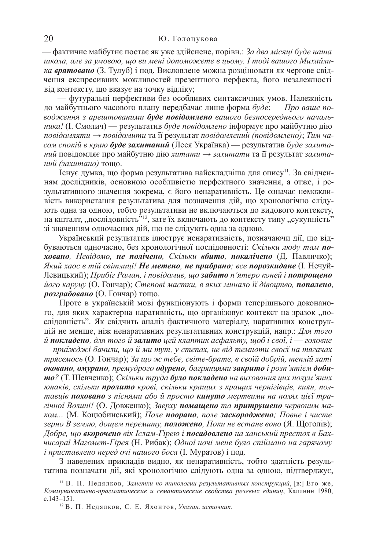— фактичне майбутнє постає як уже здійснене, порівн.: За два місяці буде наша  $u$ кола, але за умовою, шо ви мені допоможете в цьому. І тоді вашого Михайли*ка врятовано* (З. Тулуб) і под. Висловлене можна розцінювати як чергове свідчення експресивних можливостей презентного перфекта, його незалежності від контексту, що вказує на точку відліку;

— футуральні перфективи без особливих синтаксичних умов. Належність до майбутнього часового плану передбачає лише форма буде: — Про ваше поводження з арештованими буде повідомлено вашого безпосереднього началь*ника*! (І. Смолич) — результатив *буде повідомлено* інформує про майбутню дію *повідомляти → повідомити* та її результат повідомлений (повідомлено); Тим часом спокій в краю буде захитаний (Леся Українка) — результатив буде захита*ний* повідомляє про майбутню дію хитати → захитати та її результат захита- $H\overline{u}\overline{u}$  (захитано) тощо.

Існує думка, що форма результатива найскладніша для опису<sup>н</sup>. За свідченням дослідників, основною особливістю перфектного значення, а отже, і результативного значення зокрема, є його ненаративність. Це означає неможливість використання результатива для позначення дій, що хронологічно слідують одна за одною, тобто результативи не включаються до видового контексту, на кшталт, "послідовність"<sup>12</sup>, зате їх включають до контексту типу "сукупність" зі значенням одночасних дій, що не слідують одна за одною.

Український результатив ілюструє ненаративність, позначаючи дії, що відбуваються одночасно, без хронологічної послідовності: Скільки люду там по**жовано**, Невідомо, не полічено, Скільки вбито, покалічено (Д. Павличко);  $R$ кий хаос в тій світлиці! Не метено, не прибрано; все порозкидане (І. Нечуй-Левицький); Прибіг Роман, і повідомив, що забито п'ятеро коней і потрощено його каруцу (О. Гончар); Степові маєтки, в яких минало її дівоцтво, **попалено**,  $p$ *озграбовано* (О. Гончар) тощо.

Проте в українській мові функціонують і форми теперішнього доконаного, для яких характерна наративність, що організовує контекст на зразок "послідовність". Як свідчить аналіз фактичного матеріалу, наративних конструкцій не менше, ніж ненаративних результативних конструкцій, напр.: Для того  $\ddot{u}$  **покладено**, для того й залито цей клаптик асфальту, щоб і свої, і — головне — приїжджі бачили, що й ми тут, у степах, не від темноти своєї на тягачах  $mpa$ *семось* (О. Гончар); За що ж тебе, світе-брате, в своїй добрій, теплій хаті  $\boldsymbol{\delta}$ ковано, омурано, премудрого одурено, багрянцями закрито і розп'ятієм доби $mo$ ? (Т. Шевченко); *Скільки труда було покладено на виховання цих полум'яних юнаків, скільки пролито крові, скільки кращих з кращих чернігівців, киян, пол*тавців поховано з піснями або й просто кинуто мертвими на полях цієї тра $zi$ чної Волині! (О. Довженко); Зверху **помащено** та притрушено червоним ма $k\omega$ M... (М. Коцюбинський); *Поле поорано, поле заскороджено; Повне і чисте* зерно В землю, дощем перемиту, **положено**, Поки не встане воно (Я. Щоголів);  $\overline{\text{J}}$ обре, що вкорочено вік Іслам-Гірею і посадовлено на ханський престол в Бахчисараї Магомет-Гірея (Н. Рибак); Одної ночі мене було спіймано на гарячому  $i$  приставлено перед очі нашого боса (І. Муратов) і под.

З наведених прикладів видно, як ненаративність, тобто здатність результатива позначати дії, які хронологічно слідують одна за одною, підтверджує,

<sup>&</sup>lt;sup>11</sup> В. П. Недялков, Заметки по типологии результативных конструкций, [в:] Его же, *Ʉɨɦɦɭɧɢɤɚɬɢɜɧɨ-ɩɪɚɝɦɚɬɢɱɟɫɤɢɟ ɢ ɫɟɦɚɧɬɢɱɟɫɤɢɟ ɫɜɨɣɫɬɜɚ ɪɟɱɟɜɵɯ ɟɞɢɧɢɰ*, Ʉɚɥɢɧɢɧ 1980, c.143–151.

<sup>&</sup>lt;sup>12</sup> В. П. Недялков, С. Е. Яхонтов, Указан. источник.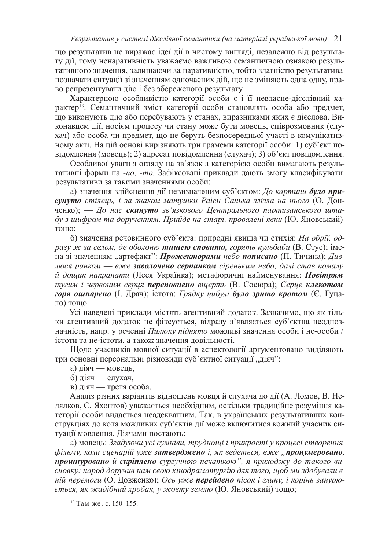що результатив не виражає ідеї дії в чистому вигляді, незалежно від результату дії, тому ненаративність уважаємо важливою семантичною ознакою результативного значення, залишаючи за наративністю, тобто здатністю результатива позначати ситуації зі значенням одночасних дій, що не зміняють одна одну, право репрезентувати дію і без збереженого результату.

Характерною особливістю категорії особи є і її невласне-дієслівний характер<sup>13</sup>. Семантичний зміст категорії особи становлять особа або предмет, що виконують дію або перебувають у станах, виразниками яких є дієслова. Виконавцем дії, носієм процесу чи стану може бути мовець, співрозмовник (слухач) або особа чи предмет, що не беруть безпосередньої участі в комунікативному акті. На цій основі вирізняють три грамеми категорії особи: 1) суб'єкт повідомлення (мовець); 2) адресат повідомлення (слухач); 3) об'єкт повідомлення.

Особливої уваги з огляду на зв'язок з категорією особи вимагають результативні форми на -*но*, -*то*. Зафіксовані приклади дають змогу класифікувати результативи за такими значеннями особи:

а) значення здійснення дії невизначеним суб'єктом: До картини було при $c$ үнүто стілець, і за знаком матушки Раїси Санька злізла на нього (О. Донченко); — До нас скинуто зв'язкового Центрального партизанського шта- $\delta$ у з шифром та дорученням. Прийде на старі, провалені явки (Ю. Яновський) тошо:

б) значення речовинного суб'єкта: природні явища чи стихія: На обрії, од- $\beta$ *дзу* ж за селом, де оболоню **тишею сповито,** горять кульбаби (В. Стус); імена зі значенням "артефакт": *Прожекторами небо пописано* (П. Тичина); Дивдюся ранком — вже заволочено серпанком сіреньким небо, далі став помалу  $\check{u}$  дощик накрапати (Леся Українка); метафоричні найменування: Повітрям *түгим і червоним серия переповнено вщерть* (В. Сосюра); Серие клекотом *горя ошпарено* (І. Драч); істота: Грядку шибулі **було зрито кротом** (Є. Гуцало) тощо.

Усі наведені приклади містять агентивний додаток. Зазначимо, що як тільки агентивний додаток не фіксується, відразу з'являється суб'єктна неоднозначність, напр. у реченні Пилюку піднято можливі значення особи і не-особи / істоти та не-істоти, а також значення довільності.

Щодо учасників мовної ситуації в аспектології аргументовано виділяють три основні персональні різновиди суб'єктної ситуації "діяч":

- а) діяч мовець,
- б) діяч слухач,

в) діяч — третя особа.

Аналіз різних варіантів відношень мовця й слухача до дії (А. Ломов, В. Недялков, С. Яхонтов) уважається необхідним, оскільки традиційне розуміння категорії особи видається неадекватним. Так, в українських результативних конструкціях до кола можливих суб'єктів дії може включитися кожний учасник ситуації мовлення. Діячами постають:

 $a)$  мовець: Згадуючи усі сумніви, трудноші і прикрості у процесі створення  $\phi$ *или, коли сценарій уже затверджено і, як ведеться, вже "пронумеровано,* прошнуровано й скріплено сургучною печаткою", я приходжу до такого ви $c$ новку: народ доручив нам свою кінодраматургію для того, щоб ми здобували в *ній перемоги* (О. Довженко); *Ось уже перейдено пісок і глину, і корінь занурю-* $\epsilon$ ться, як жадібний хробак, у жовту землю (Ю. Яновський) тощо;